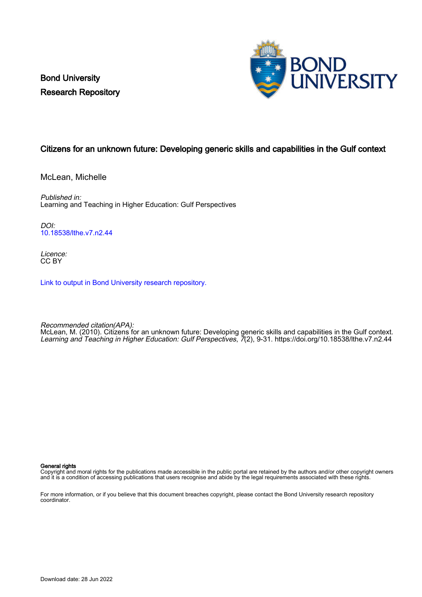Bond University Research Repository



# Citizens for an unknown future: Developing generic skills and capabilities in the Gulf context

McLean, Michelle

Published in: Learning and Teaching in Higher Education: Gulf Perspectives

 $D$  $O$ [10.18538/lthe.v7.n2.44](https://doi.org/10.18538/lthe.v7.n2.44)

Licence: CC BY

[Link to output in Bond University research repository.](https://research.bond.edu.au/en/publications/fb94d4db-e046-42ae-a309-8505b8bf5119)

Recommended citation(APA):

McLean, M. (2010). Citizens for an unknown future: Developing generic skills and capabilities in the Gulf context. Learning and Teaching in Higher Education: Gulf Perspectives, 7(2), 9-31. <https://doi.org/10.18538/lthe.v7.n2.44>

#### General rights

Copyright and moral rights for the publications made accessible in the public portal are retained by the authors and/or other copyright owners and it is a condition of accessing publications that users recognise and abide by the legal requirements associated with these rights.

For more information, or if you believe that this document breaches copyright, please contact the Bond University research repository coordinator.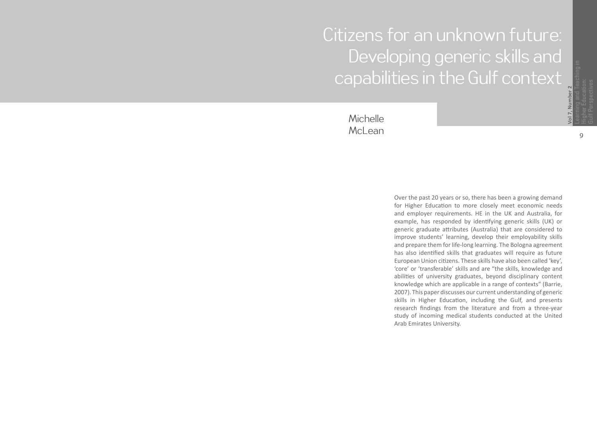# Citizens for an unknown future: Developing generic skills and capabilities in the Gulf context

Michelle McLean

> Over the past 20 years or so, there has been a growing demand for Higher Educa tion to more closely meet economic needs and employer requirements. HE in the UK and Australia, for example, has responded by iden tifying generic skills (UK) or generic graduate a ttributes (Australia) that are considered to improve students' learning, develop their employability skills and prepare them for life-long learning. The Bologna agreement has also iden ti fied skills that graduates will require as future European Union citizens. These skills have also been called 'key', 'core' or 'transferable' skills and are "the skills, knowledge and abili ties of university graduates, beyond disciplinary content knowledge which are applicable in a range of contexts" (Barrie, 2007). This paper discusses our current understanding of generic skills in Higher Education, including the Gulf, and presents research findings from the literature and from a three-year study of incoming medical students conducted at the United Arab Emirates University.

**Vol 7, Number 2**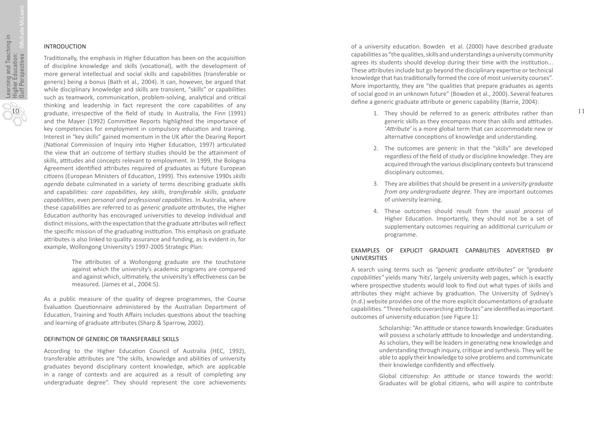# INTRODUCTION

Tradi tionally, the emphasis in Higher Educa tion has been on the acquisi tion of discipline knowledge and skills (voca tional), with the development of more general intellectual and social skills and capabili ties (transferable or generic) being a bonus (Bath et al. *,* 2004). It can, however, be argued that while disciplinary knowledge and skills are transient, "skills" or capabili ties such as teamwork, communication, problem-solving, analytical and critical thinking and leadership in fact represent the core capabili ties of any graduate, irrespec tive of the field of study. In Australia, the Finn (1991) and the Mayer (1992) Committee Reports highlighted the importance of key competencies for employment in compulsory educa tion and training. Interest in "key skills" gained momentum in the UK a fter the Dearing Report (Na tional Commission of Inquiry into Higher Educa tion, 1997) ar ticulated the view that an outcome of tertiary studies should be the attainment of skills, a ttitudes and concepts relevant to employment. In 1999, the Bologna Agreement identified attributes required of graduates as future European ci tizens (European Ministers of Educa tion, 1999). This extensive 1990s *skills agenda* debate culminated in a variety of terms describing graduate skills and capabili ties: *core capabili ties*, *key skills*, *transferable skills*, *graduate capabili ties*, even *personal and professional capabili ties*. In Australia, where these capabilities are referred to as *generic graduate attributes*, the Higher Education authority has encouraged universities to develop individual and distinct missions, with the expectation that the graduate attributes will reflect the specific mission of the graduating institution. This emphasis on graduate a ttributes is also linked to quality assurance and funding, as is evident in, for example, Wollongong University's 1997-2005 Strategic Plan:

> The a ttributes of a Wollongong graduate are the touchstone against which the university's academic programs are compared and against which, ultimately, the university's effectiveness can be measured. (James et al., 2004:5).

As a public measure of the quality of degree programmes, the Course Evaluation Questionnaire administered by the Australian Department of Educa tion, Training and Youth A ffairs includes ques tions about the teaching and learning of graduate attributes (Sharp & Sparrow, 2002).

#### DEFINITION OF GENERIC OR TRANSFERABLE SKILLS

According to the Higher Education Council of Australia (HEC, 1992), transferable attributes are "the skills, knowledge and abilities of university graduates beyond disciplinary content knowledge, which are applicable in a range of contexts and are acquired as a result of comple ting any undergraduate degree". They should represent the core achievements

of a university educa tion. Bowden et al. (2000) have described graduate capabilities as "the qualities, skills and understandings a university community agrees its students should develop during their time with the institution... These a ttributes include but go beyond the disciplinary exper tise or technical knowledge that has traditionally formed the core of most university courses". More importantly, they are "the qualities that prepare graduates as agents of social good in an unknown future" (Bowden et al., 2000). Several features define a generic graduate attribute or generic capability (Barrie, 2004):

1. They should be referred to as generic attributes rather than generic skills as they encompass more than skills and a ttitudes. '*A ttribute'* is a more global term that can accommodate new or alterna tive concep tions of knowledge and understanding.

11

- 2. The outcomes are *generic* in that the "skills" are developed regardless of the field of study or discipline knowledge. They are acquired through the various disciplinary contexts but transcend disciplinary outcomes.
- 3. They are abili ties that should be present in a *university graduate from any undergraduate degree*. They are important outcomes of university learning.
- 4. These outcomes should result from the *usual process* of Higher Educa tion. Importantly, they should not be a set of supplementary outcomes requiring an addi tional curriculum or programme.

# EXAMPLES OF EXPLICIT GRADUATE CAPABILITIES ADVERTISED BY UNIVERSITIES

A search using terms such as *"generic graduate a ttributes"* or *"graduate capabili ties"* yields many 'hits', largely university web pages, which is exactly where prospective students would look to find out what types of skills and attributes they might achieve by graduation. The University of Sydney's (n.d.) website provides one of the more explicit documenta tions of graduate capabilities. "Three holistic overarching attributes" are identified as important outcomes of university education (see Figure 1):

> Scholarship: "An attitude or stance towards knowledge: Graduates will possess a scholarly attitude to knowledge and understanding. As scholars, they will be leaders in genera ting new knowledge and understanding through inquiry, cri tique and synthesis. They will be able to apply their knowledge to solve problems and communicate their knowledge con fidently and e ffec tively.

> Global citizenship: An attitude or stance towards the world: Graduates will be global ci tizens, who will aspire to contribute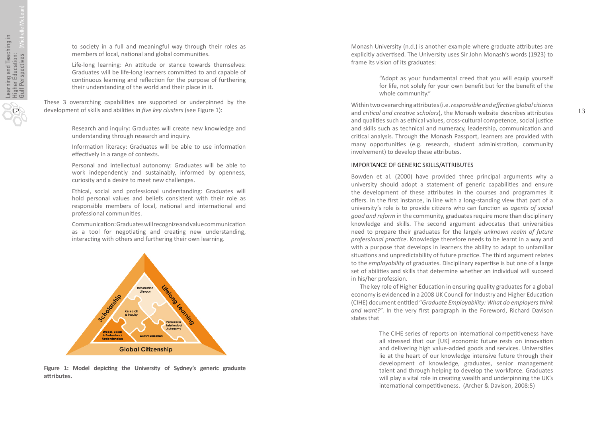12

to society in a full and meaningful way through their roles as members of local, na tional and global communi ties.

Life-long learning: An attitude or stance towards themselves: Graduates will be life-long learners committed to and capable of con tinuous learning and re flec tion for the purpose of furthering their understanding of the world and their place in it.

These 3 overarching capabilities are supported or underpinned by the development of skills and abili ties in *five key clusters* (see Figure 1):

> Research and inquiry: Graduates will create new knowledge and understanding through research and inquiry.

> Informa tion literacy: Graduates will be able to use informa tion e ffec tively in a range of contexts.

> Personal and intellectual autonomy: Graduates will be able to work independently and sustainably, informed by openness, curiosity and a desire to meet new challenges.

> Ethical, social and professional understanding: Graduates will hold personal values and beliefs consistent with their role as responsible members of local, na tional and interna tional and professional communi ties.

> Communica tion: Graduates will recognize and value communica tion as a tool for negotiating and creating new understanding, interac ting with others and furthering their own learning.



Figure 1: Model depicting the University of Sydney's generic graduate **a ttributes.**

Monash University (n.d.) is another example where graduate a ttributes are explicitly adver tised. The University uses Sir John Monash's words (1923) to frame its vision of its graduates:

> "Adopt as your fundamental creed that you will equip yourself for life, not solely for your own bene fit but for the bene fit of the whole community."

Within two overarching a ttributes (i.e. *responsible and effec tive global ci tizens* and *cri tical and crea tive scholars*), the Monash website describes a ttributes and quali ties such as ethical values, cross-cultural competence, social jus tice and skills such as technical and numeracy, leadership, communica tion and cri tical analysis. Through the Monash Passport, learners are provided with many opportuni ties (e.g. research, student administra tion, community involvement) to develop these a ttributes.

#### IMPORTANCE OF GENERIC SKILLS/ATTRIBUTES

Bowden et al. (2000) have provided three principal arguments why a university should adopt a statement of generic capabili ties and ensure the development of these attributes in the courses and programmes it o ffers. In the first instance, in line with a long-standing view that part of a university's role is to provide citizens who can function as *agents of social good and reform* in the community, graduates require more than disciplinary knowledge and skills. The second argument advocates that universi ties need to prepare their graduates for the largely *unknown realm of future*  professional practice. Knowledge therefore needs to be learnt in a way and with a purpose that develops in learners the ability to adapt to unfamiliar situations and unpredictability of future practice. The third argument relates to the *employability* of graduates. Disciplinary exper tise is but one of a large set of abili ties and skills that determine whether an individual will succeed in his/her profession.

The key role of Higher Education in ensuring quality graduates for a global economy is evidenced in a 2008 UK Council for Industry and Higher Educa tion (CIHE) document en titled "*Graduate Employability: What do employers think*  and want?". In the very first paragraph in the Foreword, Richard Davison states that

> The CIHE series of reports on international competitiveness have all stressed that our [UK] economic future rests on innova tion and delivering high value-added goods and services. Universi ties lie at the heart of our knowledge intensive future through their development of knowledge, graduates, senior management talent and through helping to develop the workforce. Graduates will play a vital role in creating wealth and underpinning the UK's interna tional competitiveness. (Archer & Davison, 2008:5)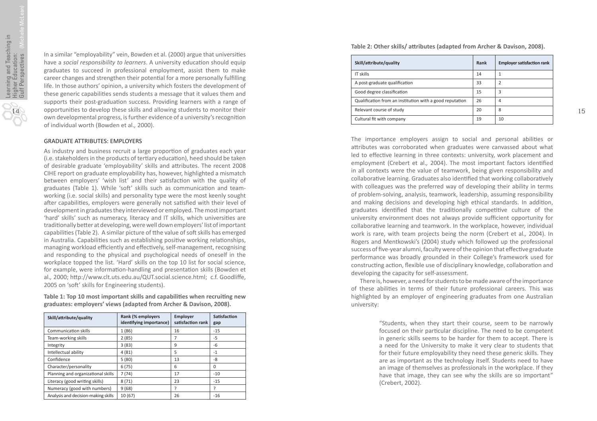In a similar "employability" vein, Bowden et al. (2000) argue that universi ties have a *social responsibility to learners*. A university educa tion should equip graduates to succeed in professional employment, assist them to make career changes and strengthen their poten tial for a more personally ful filling life. In those authors' opinion, a university which fosters the development of these generic capabilities sends students a message that it values them and supports their post-graduation success. Providing learners with a range of opportuni ties to develop these skills and allowing students to monitor their own developmental progress, is further evidence of a university's recogni tion of individual worth (Bowden et al. *,* 2000).

# GRADUATE ATTRIBUTES: EMPLOYERS

As industry and business recruit a large propor tion of graduates each year (i.e. stakeholders in the products of ter tiary educa tion), heed should be taken of desirable graduate 'employability' skills and a ttributes. The recent 2008 CIHE report on graduate employability has, however, highlighted a mismatch between employers' 'wish list' and their sa tisfac tion with the quality of graduates (Table 1). While 'so ft' skills such as communica tion and teamworking (i.e. social skills) and personality type were the most keenly sought after capabilities, employers were generally not satisfied with their level of development in graduates they interviewed or employed. The most important 'hard' skills' such as numeracy, literacy and IT skills, which universi ties are tradi tionally be tter at developing, were well down employers' list of important capabili ties (Table 2). A similar picture of tthe value of so ft skills has emerged in Australia. Capabilities such as establishing positive working relationships, managing workload e fficiently and e ffec tively, self-management, recognising and responding to the physical and psychological needs of oneself in the workplace topped the list. 'Hard' skills on the top 10 list for social science, for example, were informa tion-handling and presenta tion skills (Bowden et al., 2000; http://www.clt.uts.edu.au/QUT.social.science.html; c.f. Goodliffe, 2005 on 'so ft' skills for Engineering students).

**Table 1: Top 10 most important skills and capabili ties when recrui ting new graduates: employers' views (adapted from Archer & Davison, 2008).**

| Skill/attribute/quality             | Rank (% employers<br>identifying importance) | <b>Employer</b><br>satisfaction rank | <b>Satisfaction</b><br>gap |
|-------------------------------------|----------------------------------------------|--------------------------------------|----------------------------|
| <b>Communication skills</b>         | 1(86)                                        | 16                                   | $-15$                      |
| Team-working skills                 | 2(85)                                        |                                      | -5                         |
| Integrity                           | 3(83)                                        | 9                                    | -6                         |
| Intellectual ability                | 4(81)                                        | 5                                    | $-1$                       |
| Confidence                          | 5(80)                                        | 13                                   | -8                         |
| Character/personality               | 6(75)                                        | 6                                    | 0                          |
| Planning and organizational skills  | 7(74)                                        | 17                                   | $-10$                      |
| Literacy (good writing skills)      | 8(71)                                        | 23                                   | $-15$                      |
| Numeracy (good with numbers)        | 9(68)                                        | 7                                    | ?                          |
| Analysis and decision-making skills | 10(67)                                       | 26                                   | $-16$                      |

**Table 2: Other skills/ a ttributes (adapted from Archer & Davison, 2008).**

| Skill/attribute/quality                                  | Rank | <b>Employer satisfaction rank</b> |
|----------------------------------------------------------|------|-----------------------------------|
| IT skills                                                | 14   |                                   |
| A post-graduate qualification                            | 33   | 2                                 |
| Good degree classification                               | 15   | 3                                 |
| Qualification from an institution with a good reputation | 26   | 4                                 |
| Relevant course of study                                 | 20   | 8                                 |
| Cultural fit with company                                | 19   | 10                                |

The importance employers assign to social and personal abili ties or a ttributes was corroborated when graduates were canvassed about what led to effective learning in three contexts: university, work placement and employment (Crebert et al., 2004). The most important factors identified in all contexts were the value of teamwork, being given responsibility and collabora tive learning. Graduates also iden ti fied that working collabora tively with colleagues was the preferred way of developing their ability in terms of problem-solving, analysis, teamwork, leadership, assuming responsibility and making decisions and developing high ethical standards. In addi tion, graduates iden ti fied that the tradi tionally competitive culture of the university environment does not always provide su fficient opportunity for collabora tive learning and teamwork. In the workplace, however, individual work is rare, with team projects being the norm (Crebert et al. *,* 2004). In Rogers and Mentkowski's (2004) study which followed up the professional success of five-year alumni, faculty were of the opinion that e ffec tive graduate performance was broadly grounded in their College's framework used for constructing action, flexible use of disciplinary knowledge, collaboration and developing the capacity for self-assessment.

There is, however, a need for students to be made aware of the importance of these abilities in terms of their future professional careers. This was highlighted by an employer of engineering graduates from one Australian university:

> "Students, when they start their course, seem to be narrowly focused on their particular discipline. The need to be competent in generic skills seems to be harder for them to accept. There is a need for the University to make it very clear to students that for their future employability they need these generic skills. They are as important as the technology itself. Students need to have an image of themselves as professionals in the workplace. If they have that image, they can see why the skills are so important" (Crebert, 2002).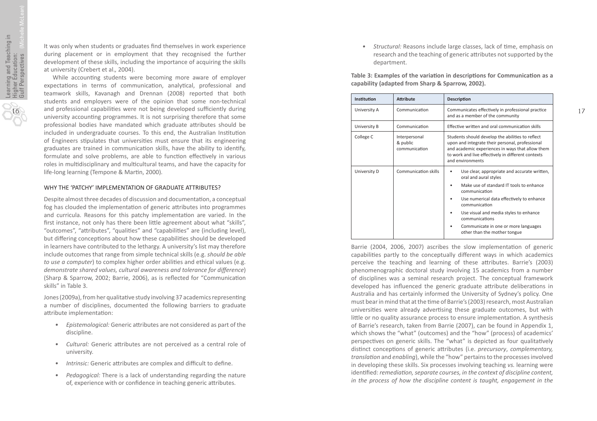It was only when students or graduates find themselves in work experience during placement or in employment that they recognised the further development of these skills, including the importance of acquiring the skills at university (Crebert et al. *,* 2004).

While accoun ting students were becoming more aware of employer expectations in terms of communication, analytical, professional and teamwork skills, Kavanagh and Drennan (2008) reported that both students and employers were of the opinion that some non-technical and professional capabilities were not being developed sufficiently during university accounting programmes. It is not surprising therefore that some professional bodies have mandated which graduate a ttributes should be included in undergraduate courses. To this end, the Australian Institution of Engineers stipulates that universities must ensure that its engineering graduates are trained in communication skills, have the ability to identify, formulate and solve problems, are able to function effectively in various roles in multidisciplinary and multicultural teams, and have the capacity for life-long learning (Tempone & Mar tin, 2000).

# WHY THE 'PATCHY' IMPLEMENTATION OF GRADUATE ATTRIBUTES?

Despite almost three decades of discussion and documenta tion, a conceptual fog has clouded the implementation of generic attributes into programmes and curricula. Reasons for this patchy implementa tion are varied. In the first instance, not only has there been little agreement about what "skills", "outcomes", "attributes", "qualities" and "capabilities" are (including level), but di ffering concep tions about how these capabili ties should be developed in learners have contributed to the lethargy. A university's list may therefore include outcomes that range from simple technical skills (e.g. *should be able to use a computer*) to complex higher order abili ties and ethical values (e.g. *demonstrate shared values, cultural awareness and tolerance for difference*) (Sharp & Sparrow, 2002; Barrie, 2006), as is re flected for "Communica tion skills" in Table 3.

Jones (2009a), from her qualitative study involving 37 academics representing a number of disciplines, documented the following barriers to graduate attribute implementation:

- *Epistemological:* Generic a ttributes are not considered as part of the discipline.
- Cultural: Generic attributes are not perceived as a central role of university.
- Intrinsic: Generic attributes are complex and difficult to define.
- *Pedagogical:* There is a lack of understanding regarding the nature of, experience with or confidence in teaching generic attributes.

*• Structural:* Reasons include large classes, lack of time, emphasis on research and the teaching of generic attributes not supported by the department.

**Table 3: Examples of the variation in descriptions for Communication as a capability (adapted from Sharp & Sparrow, 2002).**

| Institution  | <b>Attribute</b>                           | <b>Description</b>                                                                                                                                                                                                                                                                                                                                            |  |
|--------------|--------------------------------------------|---------------------------------------------------------------------------------------------------------------------------------------------------------------------------------------------------------------------------------------------------------------------------------------------------------------------------------------------------------------|--|
| University A | Communication                              | Communicates effectively in professional practice<br>and as a member of the community                                                                                                                                                                                                                                                                         |  |
| University B | Communication                              | Effective written and oral communication skills                                                                                                                                                                                                                                                                                                               |  |
| College C    | Interpersonal<br>& public<br>communication | Students should develop the abilities to reflect<br>upon and integrate their personal, professional<br>and academic experiences in ways that allow them<br>to work and live effectively in different contexts<br>and environments                                                                                                                             |  |
| University D | Communication skills                       | Use clear, appropriate and accurate written,<br>٠<br>oral and aural styles<br>Make use of standard IT tools to enhance<br>٠<br>communication<br>Use numerical data effectively to enhance<br>٠<br>communication<br>Use visual and media styles to enhance<br>٠<br>communications<br>Communicate in one or more languages<br>٠<br>other than the mother tongue |  |

Barrie (2004, 2006, 2007) ascribes the slow implementa tion of generic capabili ties partly to the conceptually di fferent ways in which academics perceive the teaching and learning of these a ttributes. Barrie's (2003) phenomenographic doctoral study involving 15 academics from a number of disciplines was a seminal research project. The conceptual framework developed has influenced the generic graduate attribute deliberations in Australia and has certainly informed the University of Sydney's policy. One must bear in mind that at the time of Barrie's (2003) research, most Australian universities were already advertising these graduate outcomes, but with li ttle or no quality assurance process to ensure implementa tion. A synthesis of Barrie's research, taken from Barrie (2007), can be found in Appendix 1, which shows the "what" (outcomes) and the "how" (process) of academics' perspectives on generic skills. The "what" is depicted as four qualitatively dis tinct concep tions of generic a ttributes (i.e. *precursory*, *complementary, transla tion* and *enabling*), while the "how" pertains to the processes involved in developing these skills. Six processes involving teaching *vs.* learning were iden ti fied: *remedia tion, separate courses, in the context of discipline content, in the process of how the discipline content is taught, engagement in the*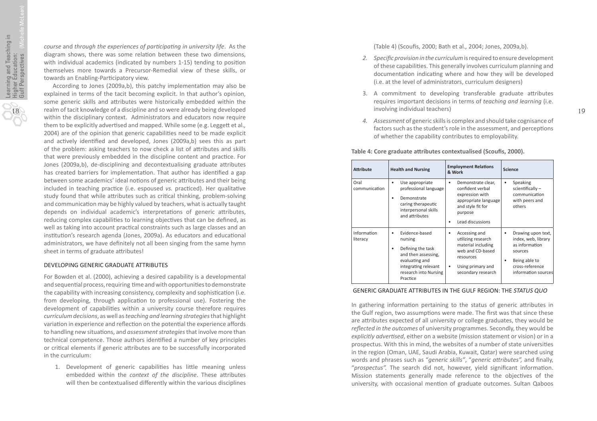*course* and *through the experiences of par ticipa ting in university life*. As the diagram shows, there was some relation between these two dimensions, with individual academics (indicated by numbers 1-15) tending to posi tion themselves more towards a Precursor-Remedial view of these skills, or towards an Enabling-Par ticipatory view.

According to Jones (2009a,b), this patchy implementa tion may also be explained in terms of the tacit becoming explicit. In that author's opinion, some generic skills and attributes were historically embedded within the realm of tacit knowledge of a discipline and so were already being developed within the disciplinary context. Administrators and educators now require them to be explicitly advertised and mapped. While some (e.g. Leggett et al., 2004) are of the opinion that generic capabili ties need to be made explicit and ac tively iden ti fied and developed, Jones (2009a,b) sees this as part of the problem: asking teachers to now check a list of a ttributes and skills that were previously embedded in the discipline content and prac tice. For Jones (2009a,b), de-disciplining and decontextualising graduate a ttributes has created barriers for implementation. That author has identified a gap between some academics' ideal notions of generic attributes and their being included in teaching practice (i.e. espoused vs. practiced). Her qualitative study found that while attributes such as critical thinking, problem-solving and communica tion may be highly valued by teachers, what is actually taught depends on individual academic's interpretations of generic attributes, reducing complex capabilities to learning objectives that can be defined, as well as taking into account practical constraints such as large classes and an institution's research agenda (Jones, 2009a). As educators and educational administrators, we have definitely not all been singing from the same hymn sheet in terms of graduate attributes!

#### DEVELOPING GENERIC GRADUATE ATTRIBUTES

For Bowden et al. (2000), achieving a desired capability is a developmental and sequential process, requiring time and with opportunities to demonstrate the capability with increasing consistency, complexity and sophistication (i.e. from developing, through application to professional use). Fostering the development of capabilities within a university course therefore requires *curriculum decisions*, as well as *teaching and learning strategies* that highlight variation in experience and reflection on the potential the experience affords to handling new situations, and *assessment strategies* that involve more than technical competence. Those authors identified a number of key principles or cri tical elements if generic a ttributes are to be successfully incorporated in the curriculum:

1. Development of generic capabilities has little meaning unless embedded within the *context of the discipline*. These a ttributes will then be contextualised di fferently within the various disciplines (Table 4) (Scou fis, 2000; Bath et al. *,* 2004; Jones, 2009a,b).

- *2. Specific provision in the curriculum* is required to ensure development of these capabilities. This generally involves curriculum planning and documenta tion indica ting where and how they will be developed (i.e. at the level of administrators, curriculum designers)
- 3. A commitment to developing transferable graduate attributes requires important decisions in terms of *teaching and learning* (i.e. involving individual teachers)
- *4. Assessment* of generic skills is complex and should take cognisance of factors such as the student's role in the assessment, and percep tions of whether the capability contributes to employability.

**Table 4: Core graduate a ttributes contextualised (Scou fis, 2000).**

| <b>Attribute</b>        | <b>Health and Nursing</b>                                                                                                                                      | <b>Employment Relations</b><br>& Work                                                                                                           | <b>Science</b>                                                                                                                    |
|-------------------------|----------------------------------------------------------------------------------------------------------------------------------------------------------------|-------------------------------------------------------------------------------------------------------------------------------------------------|-----------------------------------------------------------------------------------------------------------------------------------|
| Oral<br>communication   | Use appropriate<br>٠<br>professional language<br>Demonstrate<br>٠<br>caring therapeutic<br>interpersonal skills<br>and attributes                              | Demonstrate clear,<br>٠<br>confident verbal<br>expression with<br>appropriate language<br>and style fit for<br>purpose<br>Lead discussions<br>٠ | Speaking<br>٠<br>scientifically-<br>communication<br>with peers and<br>others                                                     |
| Information<br>literacy | Evidence-based<br>٠<br>nursing<br>Defining the task<br>٠<br>and then assessing,<br>evaluating and<br>integrating relevant<br>research into Nursing<br>Practice | Accessing and<br>٠<br>utilizing research<br>material including<br>web and CD-based<br>resources<br>Using primary and<br>٠<br>secondary research | Drawing upon text,<br>index, web, library<br>as information<br>sources<br>Being able to<br>cross-reference<br>information sources |

# GENERIC GRADUATE ATTRIBUTES IN THE GULF REGION: THE *STATUS QUO*

In gathering information pertaining to the status of generic attributes in the Gulf region, two assumptions were made. The first was that since these are a ttributes expected of all university or college graduates, they would be *reflected in the outcomes* of university programmes. Secondly, they would be explicitly *advertised*, either on a website (mission statement or vision) or in a prospectus. With this in mind, the websites of a number of state universi ties in the region (Oman, UAE, Saudi Arabia, Kuwait, Qatar) were searched using words and phrases such as "*generic skills"*, "*generic a ttributes",* and finally, "prospectus". The search did not, however, yield significant information. Mission statements generally made reference to the objec tives of the university, with occasional mention of graduate outcomes. Sultan Qaboos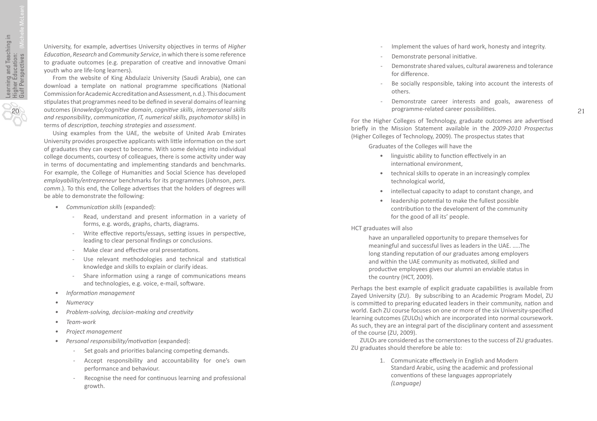20

University, for example, advertises University objectives in terms of Higher *Educa tion*, *Research* and *Community Service*, in which there is some reference to graduate outcomes (e.g. preparation of creative and innovative Omani youth who are life-long learners).

From the website of King Abdulaziz University (Saudi Arabia), one can download a template on national programme specifications (National Commission for Academic Accredita tion and Assessment, n.d.). This document s tipulates that programmes need to be de fined in several domains of learning outcomes (*knowledge/cogni tive domain*, *cogni tive skills*, *interpersonal skills and responsibility*, *communica tion*, *IT, numerical skills*, *psychomotor skills*) in terms of *description, teaching strategies* and *assessment*.

Using examples from the UAE, the website of United Arab Emirates University provides prospective applicants with little information on the sort of graduates they can expect to become. With some delving into individual college documents, courtesy of colleagues, there is some ac tivity under way in terms of documentating and implementing standards and benchmarks. For example, the College of Humani ties and Social Science has developed *employability/entrepreneur* benchmarks for its programmes (Johnson, *pers.*  comm.). To this end, the College advertises that the holders of degrees will be able to demonstrate the following:

- *Communica tion skills* (expanded):
	- Read, understand and present informa tion in a variety of forms, e.g. words, graphs, charts, diagrams.
	- Write effective reports/essays, setting issues in perspective, leading to clear personal findings or conclusions.
	- Make clear and effective oral presentations.
	- Use relevant methodologies and technical and statistical knowledge and skills to explain or clarify ideas.
	- Share information using a range of communications means and technologies, e.g. voice, e-mail, so ftware.
- *Informa tion management*
- *Numeracy*
- *Problem-solving, decision-making and crea tivity*
- *Team-work*
- *Project management*
- *Personal responsibility/mo tiva tion* (expanded):
	- Set goals and priori ties balancing compe ting demands.
	- Accept responsibility and accountability for one's own performance and behaviour.
	- Recognise the need for continuous learning and professional growth.
- Implement the values of hard work, honesty and integrity.
- Demonstrate personal initiative.
- Demonstrate shared values, cultural awareness and tolerance for di fference.
- Be socially responsible, taking into account the interests of others.
- Demonstrate career interests and goals, awareness of programme-related career possibili ties.

For the Higher Colleges of Technology, graduate outcomes are adver tised brie fly in the Mission Statement available in the *2009-2010 Prospectus* (Higher Colleges of Technology, 2009). The prospectus states that

Graduates of the Colleges will have the

- linguistic ability to function effectively in an interna tional environment,
- technical skills to operate in an increasingly complex technological world,
- intellectual capacity to adapt to constant change, and
- leadership poten tial to make the fullest possible contribu tion to the development of the community for the good of all its' people.

#### HCT graduates will also

have an unparalleled opportunity to prepare themselves for meaningful and successful lives as leaders in the UAE. …..The long standing reputation of our graduates among employers and within the UAE community as mo tivated, skilled and produc tive employees gives our alumni an enviable status in the country (HCT, 2009).

Perhaps the best example of explicit graduate capabili ties is available from Zayed University (ZU). By subscribing to an Academic Program Model, ZU is commi tted to preparing educated leaders in their community, na tion and world. Each ZU course focuses on one or more of the six University-speci fied learning outcomes (ZULOs) which are incorporated into normal coursework. As such, they are an integral part of the disciplinary content and assessment of the course (ZU, 2009).

ZULOs are considered as the cornerstones to the success of ZU graduates. ZU graduates should therefore be able to:

> 1. Communicate e ffec tively in English and Modern Standard Arabic, using the academic and professional conven tions of these languages appropriately *(Language)*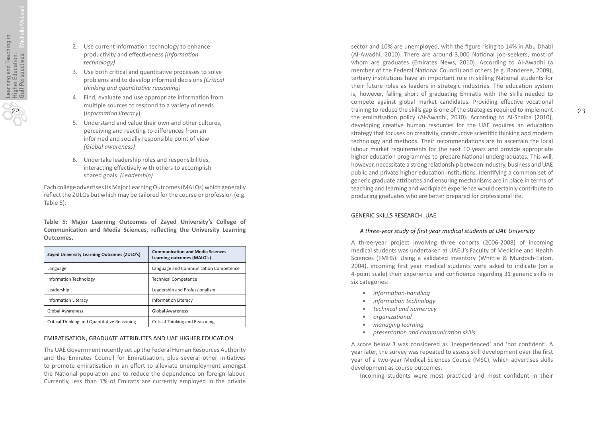- 2. Use current informa tion technology to enhance produc tivity and e ffec tiveness *(Informa tion technology)*
- 3. Use both cri tical and quan tita tive processes to solve problems and to develop informed decisions *(Cri tical thinking and quan tita tive reasoning)*
- 4. Find, evaluate and use appropriate informa tion from mul tiple sources to respond to a variety of needs (*Informa tion literacy* )
- 5. Understand and value their own and other cultures, perceiving and reacting to differences from an informed and socially responsible point of view *(Global awareness)*
- 6. Undertake leadership roles and responsibili ties, interac ting e ffec tively with others to accomplish shared goals *(Leadership)*

Each college adver tises its Major Learning Outcomes (MALOs) which generally re flect the ZULOs but which may be tailored for the course or profession (e.g. Table 5).

**Table 5: Major Learning Outcomes of Zayed University's College of**  Communication and Media Sciences, reflecting the University Learning **Outcomes.**

| Zayed University Learning Outcomes (ZULO's)  | <b>Communication and Media Sciences</b><br>Learning outcomes (MALO's) |
|----------------------------------------------|-----------------------------------------------------------------------|
| Language                                     | Language and Communication Competence                                 |
| Information Technology                       | <b>Technical Competence</b>                                           |
| Leadership                                   | Leadership and Professionalism                                        |
| <b>Information Literacy</b>                  | <b>Information Literacy</b>                                           |
| <b>Global Awareness</b>                      | <b>Global Awareness</b>                                               |
| Critical Thinking and Quantitative Reasoning | Critical Thinking and Reasoning                                       |

# EMIRATISATION, GRADUATE ATTRIBUTES AND UAE HIGHER EDUCATION

The UAE Government recently set up the Federal Human Resources Authority and the Emirates Council for Emiratisation, plus several other initiatives to promote emiratisation in an effort to alleviate unemployment amongst the National population and to reduce the dependence on foreign labour. Currently, less than 1% of Emira tis are currently employed in the private

sector and 10% are unemployed, with the figure rising to 14% in Abu Dhabi (Al-Awadhi, 2010). There are around 3,000 Na tional job-seekers, most of whom are graduates (Emirates News, 2010). According to Al-Awadhi (a member of the Federal National Council) and others (e.g. Randeree, 2009), tertiary institutions have an important role in skilling National students for their future roles as leaders in strategic industries. The educa tion system is, however, falling short of graduating Emiratis with the skills needed to compete against global market candidates. Providing effective vocational training to reduce the skills gap is one of the strategies required to implement the emira tisa tion policy (Al-Awadhi, 2010). According to Al-Shaiba (2010), developing creative human resources for the UAE requires an education strategy that focuses on creativity, constructive scientific thinking and modern technology and methods. Their recommendations are to ascertain the local labour market requirements for the next 10 years and provide appropriate higher educa tion programmes to prepare Na tional undergraduates. This will, however, necessitate a strong relationship between industry, business and UAE public and private higher education institutions. Identifying a common set of generic graduate attributes and ensuring mechanisms are in place in terms of teaching and learning and workplace experience would certainly contribute to producing graduates who are be tter prepared for professional life.

# GENERIC SKILLS RESEARCH: UAE

# *A three-year study of first year medical students at UAE University*

A three-year project involving three cohorts (2006-2008) of incoming medical students was undertaken at UAEU's Faculty of Medicine and Health Sciences (FMHS). Using a validated inventory (Whi ttle & Murdoch-Eaton, 2004), incoming first year medical students were asked to indicate (on a 4-point scale) their experience and con fidence regarding 31 generic skills in six categories:

- *informa tion-handling*
- *informa tion technology*
- *technical and numeracy*
- *organiza tional*
- *managing learning*
- *presenta tion and communica tion skills* .

A score below 3 was considered as 'inexperienced' and 'not con fident'. A year later, the survey was repeated to assess skill development over the first year of a two-year Medical Sciences Course (MSC), which adver tises skills development as course outcomes.

Incoming students were most practiced and most confident in their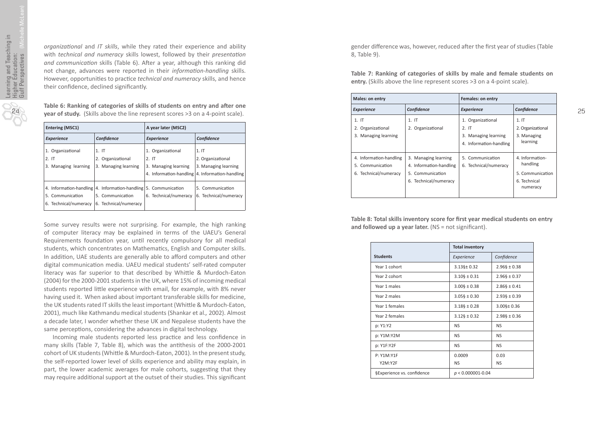24

*organiza tional* and *IT skills*, while they rated their experience and ability with *technical and numeracy* skills lowest, followed by their *presenta tion*  and communication skills (Table 6). After a year, although this ranking did not change, advances were reported in their *informa tion-handling* skills. However, opportunities to practice *technical and numeracy* skills, and hence their con fidence, declined signi ficantly.

**Table 6: Ranking of categories of skills of students on entry and a fter one year of study.** (Skills above the line represent scores >3 on a 4-point scale).

| <b>Entering (MSC1)</b>                            |                                                                                                               | A year later (MSC2)                                                                                    |                                                   |
|---------------------------------------------------|---------------------------------------------------------------------------------------------------------------|--------------------------------------------------------------------------------------------------------|---------------------------------------------------|
| <b>Experience</b>                                 | Confidence                                                                                                    | <b>Experience</b>                                                                                      | Confidence                                        |
| 1. Organizational<br>2.1T<br>3. Managing learning | 1.1T<br>2. Organizational<br>3. Managing learning                                                             | 1. Organizational<br>2.1T<br>3. Managing learning<br>4. Information-handling   4. Information-handling | 1.1T<br>2. Organizational<br>3. Managing learning |
| 5. Communication<br>6. Technical/numeracy         | 4. Information-handling 4. Information-handling 5. Communication<br>5. Communication<br>6. Technical/numeracy | 6. Technical/numeracy                                                                                  | 5. Communication<br>6. Technical/numeracy         |

Some survey results were not surprising. For example, the high ranking of computer literacy may be explained in terms of the UAEU's General Requirements foundation year, until recently compulsory for all medical students, which concentrates on Mathema tics, English and Computer skills. In addi tion, UAE students are generally able to a fford computers and other digital communication media. UAEU medical students' self-rated computer literacy was far superior to that described by Whi ttle & Murdoch-Eaton (2004) for the 2000-2001 students in the UK, where 15% of incoming medical students reported little experience with email, for example, with 8% never having used it. When asked about important transferable skills for medicine, the UK students rated IT skills the least important (Whi ttle & Murdoch-Eaton, 2001), much like Kathmandu medical students (Shankar et al. *,* 2002). Almost a decade later, I wonder whether these UK and Nepalese students have the same percep tions, considering the advances in digital technology.

Incoming male students reported less practice and less confidence in many skills (Table 7, Table 8), which was the an tithesis of the 2000-2001 cohort of UK students (Whittle & Murdoch-Eaton, 2001). In the present study, the self-reported lower level of skills experience and ability may explain, in part, the lower academic averages for male cohorts, sugges ting that they may require addi tional support at the outset of their studies. This signi ficant

gender di fference was, however, reduced a fter the first year of studies (Table 8, Table 9).

**Table 7: Ranking of categories of skills by male and female students on entry.** (Skills above the line represent scores >3 on a 4-point scale).

| Males: on entry                                                      |                                                                                              | <b>Females: on entry</b>                                                     |                                                                             |
|----------------------------------------------------------------------|----------------------------------------------------------------------------------------------|------------------------------------------------------------------------------|-----------------------------------------------------------------------------|
| <b>Experience</b>                                                    | Confidence                                                                                   | <b>Experience</b>                                                            | Confidence                                                                  |
| 1.1T<br>2. Organizational<br>3. Managing learning                    | $1.1$ T<br>2. Organizational                                                                 | 1. Organizational<br>2.1T<br>3. Managing learning<br>4. Information-handling | 1.1T<br>2. Organizational<br>3. Managing<br>learning                        |
| 4. Information-handling<br>5. Communication<br>6. Technical/numeracy | 3. Managing learning<br>4. Information-handling<br>5. Communication<br>6. Technical/numeracy | 5. Communication<br>6. Technical/numeracy                                    | 4. Information-<br>handling<br>5. Communication<br>6. Technical<br>numeracy |

**Table 8: Total skills inventory score for first year medical students on entry**  and followed up a year later. (NS = not significant).

|                            | <b>Total inventory</b>     |                            |
|----------------------------|----------------------------|----------------------------|
| <b>Students</b>            | Experience                 | Confidence                 |
| Year 1 cohort              | $3.13$ §± 0.32             | $2.96\S \pm 0.38$          |
| Year 2 cohort              | $3.10\frac{5}{5} \pm 0.31$ | $2.96\S \pm 0.37$          |
| Year 1 males               | $3.00\frac{1}{2} \pm 0.38$ | $2.86\frac{1}{2} \pm 0.41$ |
| Year 2 males               | $3.05\frac{1}{2} \pm 0.30$ | $2.93\frac{1}{2} \pm 0.39$ |
| Year 1 females             | $3.18\S \pm 0.28$          | $3.00$ §± 0.36             |
| Year 2 females             | $3.12\S \pm 0.32$          | $2.98\S \pm 0.36$          |
| p: Y1:Y2                   | <b>NS</b>                  | <b>NS</b>                  |
| p: Y1M:Y2M                 | <b>NS</b>                  | <b>NS</b>                  |
| p: Y1F:Y2F                 | <b>NS</b>                  | <b>NS</b>                  |
| P: Y1M: Y1F                | 0.0009                     | 0.03                       |
| Y2M:Y2F                    | <b>NS</b>                  | <b>NS</b>                  |
| §Experience vs. confidence | $p < 0.000001 - 0.04$      |                            |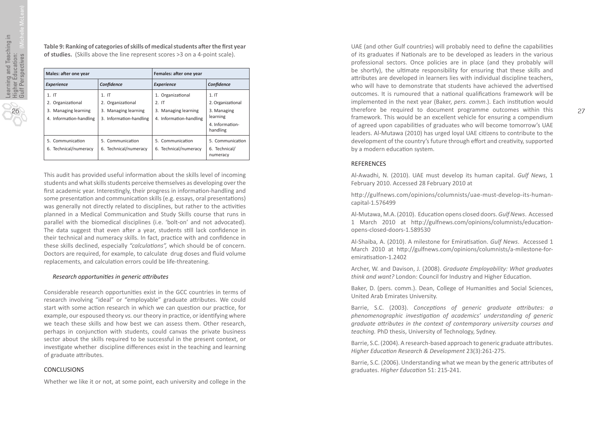**Table 9: Ranking of categories of skills of medical students a fter the first year of studies.** (Skills above the line represent scores >3 on a 4-point scale).

| Males: after one year                                                           |                                                                                 | Females: after one year                                                      |                                                                                     |
|---------------------------------------------------------------------------------|---------------------------------------------------------------------------------|------------------------------------------------------------------------------|-------------------------------------------------------------------------------------|
| <b>Experience</b>                                                               | Confidence                                                                      | <b>Experience</b>                                                            | Confidence                                                                          |
| $1.1$ T<br>2. Organizational<br>3. Managing learning<br>4. Information-handling | $1.$ IT<br>2. Organizational<br>3. Managing learning<br>3. Information-handling | 1. Organizational<br>2.1T<br>3. Managing learning<br>4. Information-handling | 1.1T<br>2. Organizational<br>3. Managing<br>learning<br>4. Information-<br>handling |
| 5. Communication<br>6. Technical/numeracy                                       | 5. Communication<br>6. Technical/numeracy                                       | 5. Communication<br>6. Technical/numeracy                                    | 5. Communication<br>6. Technical/<br>numeracy                                       |

This audit has provided useful informa tion about the skills level of incoming students and what skills students perceive themselves as developing over the first academic year. Interestingly, their progress in information-handling and some presenta tion and communica tion skills (e.g. essays, oral presenta tions) was generally not directly related to disciplines, but rather to the activities planned in a Medical Communication and Study Skills course that runs in parallel with the biomedical disciplines (i.e. 'bolt-on' and not advocated). The data suggest that even after a year, students still lack confidence in their technical and numeracy skills. In fact, prac tice with and con fidence in these skills declined, especially *"calcula tions",* which should be of concern. Doctors are required, for example, to calculate drug doses and fluid volume replacements, and calculation errors could be life-threatening.

#### *Research opportuni ties in generic a ttributes*

Considerable research opportunities exist in the GCC countries in terms of research involving "ideal" or "employable" graduate a ttributes. We could start with some action research in which we can question our practice, for example, our espoused theory vs. our theory in practice, or identifying where we teach these skills and how best we can assess them. Other research, perhaps in conjunction with students, could canvas the private business sector about the skills required to be successful in the present context, or inves tigate whether discipline di fferences exist in the teaching and learning of graduate a ttributes.

#### **CONCLUSIONS**

Whether we like it or not, at some point, each university and college in the

UAE (and other Gulf countries) will probably need to de fine the capabili ties of its graduates if Na tionals are to be developed as leaders in the various professional sectors. Once policies are in place (and they probably will be shortly), the ultimate responsibility for ensuring that these skills and a ttributes are developed in learners lies with individual discipline teachers, who will have to demonstrate that students have achieved the adver tised outcomes. It is rumoured that a na tional quali fica tions framework will be implemented in the next year (Baker, pers. comm.). Each institution would therefore be required to document programme outcomes within this framework. This would be an excellent vehicle for ensuring a compendium of agreed upon capabili ties of graduates who will become tomorrow's UAE leaders. Al-Mutawa (2010) has urged loyal UAE ci tizens to contribute to the development of the country's future through e ffort and crea tivity, supported by a modern educa tion system.

# REFERENCES

Al-Awadhi, N. (2010). UAE must develop its human capital. *Gulf News*, 1 February 2010. Accessed 28 February 2010 at

http://gulfnews.com/opinions/columnists/uae-must-develop-its-humancapital-1.576499

Al-Mutawa, M.A. (2010). Educa tion opens closed doors. *Gulf News*. Accessed 1 March 2010 at h ttp://gulfnews.com/opinions/columnists/educa tionopens-closed-doors-1.589530

Al-Shaiba, A. (2010). A milestone for Emira tisa tion. *Gulf News*. Accessed 1 March 2010 at h ttp://gulfnews.com/opinions/columnists/a-milestone-foremiratisation-1.2402

Archer, W. and Davison, J. (2008). *Graduate Employability: What graduates*  think and want? London: Council for Industry and Higher Education.

Baker, D. (pers. comm.). Dean, College of Humani ties and Social Sciences, United Arab Emirates University.

Barrie, S.C. (2003). *Concep tions of generic graduate a ttributes: a phenomenographic inves tiga tion of academics' understanding of generic graduate a ttributes in the context of contemporary university courses and teaching.* PhD thesis, University of Technology, Sydney.

Barrie, S.C. (2004). A research-based approach to generic graduate a ttributes. *Higher Educa tion Research & Development* 23(3):261-275.

Barrie, S.C. (2006). Understanding what we mean by the generic attributes of graduates. *Higher Educa tion* 51: 215-241.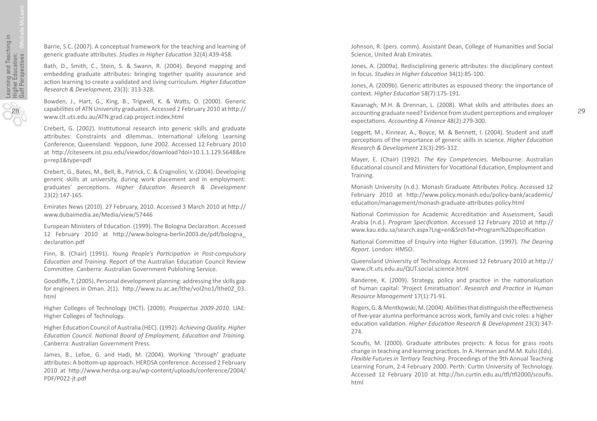Barrie, S.C. (2007). A conceptual framework for the teaching and learning of generic graduate a ttributes. *Studies in Higher Educa tion* 32(4):439-458.

Bath, D., Smith, C., Stein, S. & Swann, R. (2004). Beyond mapping and embedding graduate attributes: bringing together quality assurance and ac tion learning to create a validated and living curriculum. *Higher Educa tion Research & Development,* 23(3): 313-328.

Bowden, J., Hart, G., King, B., Trigwell, K. & Wa tts, O. (2000). Generic capabili ties of ATN University graduates. Accessed 2 February 2010 at h ttp:// www.clt.uts.edu.au/ATN.grad.cap.project.index.html

Crebert, G. (2002). Institutional research into generic skills and graduate attributes: Constraints and dilemmas. International Lifelong Learning Conference, Queensland: Yeppoon, June 2002. Accessed 12 February 2010 at h ttp://citeseerx.ist.psu.edu/viewdoc/download?doi=10.1.1.129.5648&re p=rep1&type=pdf

Crebert, G., Bates, M., Bell, B., Patrick, C. & Cragnolini, V. (2004). Developing generic skills at university, during work placement and in employment: graduates' percep tions. *Higher Educa tion Research & Development* 23(2):147-165.

Emirates News (2010). 27 February, 2010. Accessed 3 March 2010 at h ttp:// www.dubaimedia.ae/Media/view/57446

European Ministers of Education. (1999). The Bologna Declaration. Accessed 12 February 2010 at h ttp://www.bologna-berlin2003.de/pdf/bologna\_ declara tion.pdf

Finn, B. (Chair) (1991). *Young People's Par ticipa tion in Post-compulsory*  Education and Training. Report of the Australian Education Council Review Commi ttee. Canberra: Australian Government Publishing Service.

Goodli ffe, T. (2005). Personal development planning: addressing the skills gap for engineers in Oman. 2(1). http://www.zu.ac.ae/lthe/vol2no1/lthe02\_03. html

Higher Colleges of Technology (HCT). (2009). *Prospectus 2009-2010*. UAE: Higher Colleges of Technology.

Higher Educa tion Council of Australia (HEC). (1992). *Achieving Quality. Higher Educa tion Council. Na tional Board of Employment, Educa tion and Training.* Canberra: Australian Government Press.

James, B., Lefoe, G. and Hadi, M. (2004). Working 'through' graduate attributes: A bottom-up approach. HERDSA conference. Accessed 2 February 2010 at h ttp://www.herdsa.org.au/wp-content/uploads/conference/2004/ PDF/P022-jt.pdf

Johnson, R. (pers. comm). Assistant Dean, College of Humani ties and Social Science, United Arab Emirates.

Jones, A. (2009a). Redisciplining generic attributes: the disciplinary context in focus. *Studies in Higher Educa tion* 34(1):85-100.

Jones, A. (2009b). Generic attributes as espoused theory: the importance of context. *Higher Educa tion* 58(7):175-191.

Kavanagh, M.H. & Drennan, L. (2008). What skills and a ttributes does an accoun ting graduate need? Evidence from student percep tions and employer expecta tions. *Accoun ting & Finance* 48(2):279-300.

Leggett, M., Kinnear, A., Boyce, M. & Bennett, I. (2004). Student and staff percep tions of the importance of generic skills in science. *Higher Educa tion Research & Development* 23(3):295-312.

Mayer, E. (Chair) (1992). *The Key Competencies.* Melbourne: Australian Educa tional council and Ministers for Voca tional Educa tion, Employment and Training.

Monash University (n.d.). Monash Graduate Attributes Policy. Accessed 12 February 2010 at h ttp://www.policy.monash.edu/policy-bank/academic/ educa tion/management/monash-graduate-a ttributes-policy.html

Na tional Commission for Academic Accredita tion and Assessment, Saudi Arabia (n.d.). *Program Specifica tion.* Accessed 12 February 2010 at h ttp:// www.kau.edu.sa/search.aspx?Lng=en&SrchTxt=Program%20speci fica tion

National Committee of Enquiry into Higher Education. (1997). The Dearing *Report.* London: HMSO.

Queensland University of Technology. Accessed 12 February 2010 at h ttp:// www.clt.uts.edu.au/QUT.social.science.html

Randeree, K. (2009). Strategy, policy and practice in the nationalization of human capital: 'Project Emira tisa tion'. *Research and Prac tice in Human Resource Management* 17(1):71-91.

Rogers, G. & Mentkowski, M. (2004). Abilities that distinguish the effectiveness of five-year alumna performance across work, family and civic roles: a higher educa tion valida tion. *Higher Educa tion Research & Development* 23(3):347- 274.

Scoufis, M. (2000). Graduate attributes projects: A focus for grass roots change in teaching and learning practices. In A. Herman and M.M. Kulsi (Eds). *Flexible Futures in Ter tiary Teaching*. Proceedings of the 9th Annual Teaching Learning Forum, 2-4 February 2000. Perth: Cur tin University of Technology. Accessed 12 February 2010 at http://lsn.curtin.edu.au/tfl/tfl2000/scoufis. html